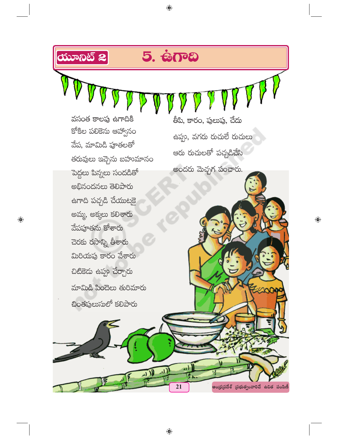

 $\bigoplus$ 

 $\bigoplus$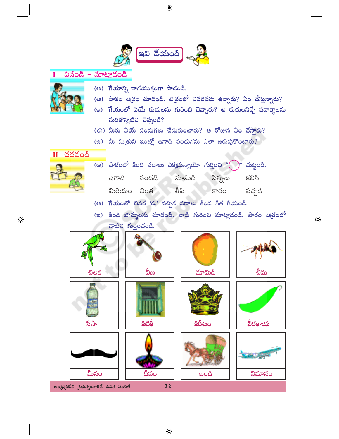

 $\bigoplus$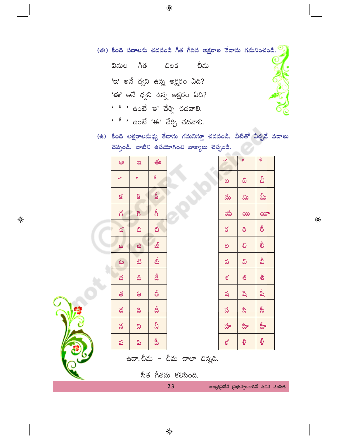| (ఈ) కింది పదాలను చదవండి గీత గీసిన అక్షరాల తేదాను గమనించండి. |  |  |  |  |  |  |
|-------------------------------------------------------------|--|--|--|--|--|--|
|-------------------------------------------------------------|--|--|--|--|--|--|

- గీత చీమ విమల చిలక 'ఇ' అనే ధ్వని ఉన్న అక్షరం ఏది? 'ఈ' అనే ధ్వని ఉన్న అక్షరం ఏది?
- <u>'ి ' ఉం</u>టే 'ఇ' చేర్చి చదవాలి.
- ' <sup>ક</sup> ' ఉంటే 'ఈ' చేర్చి చదవాలి.

(ఉ) కింది అక్షరాలమధ్య తేదాను గమనిస్తూ చదవండి. వీటితో ఏర్పడే పదాలు చెప్పండి. వాటిని ఉపయోగించి వాక్యాలు చెప్పండి.

|    | అ             | $\mathfrak{B}$ | $\mathfrak{S}_3$           |                              | $\checkmark$ | ø                          | Š                                                    |
|----|---------------|----------------|----------------------------|------------------------------|--------------|----------------------------|------------------------------------------------------|
|    | $\mathcal{L}$ | 9              | $\boldsymbol{\mathcal{S}}$ |                              | ಐ            | ವಿ                         | వీ                                                   |
|    | $\leq$        | $\mathbf{g}$   | <b>S</b>                   |                              | మ            | ವಿ                         | మీ                                                   |
|    | ឥ             | $\delta$       | ຄໍ                         |                              | య            | $\infty$                   | $\infty$                                             |
|    | చ             | చి             | ္သ                         |                              | ర            | $\delta$                   | $\delta$                                             |
|    | ಜ             | ಜಿ             | జీ                         |                              | ల            | లి                         | စ်                                                   |
|    | ಟ             | ඪ              | టీ                         |                              | వ            | ವಿ                         | వీ                                                   |
|    | డ             | <b>&amp;</b>   | డీ                         |                              | $\delta$     | ಕಿ                         | စွဲ                                                  |
|    | త             | ತಿ             | စ္မ်                       |                              | ష            | ಷಿ                         | ಷ್ಷಿ                                                 |
|    | ద             | $\delta$       | $\delta$                   |                              | స            | $\boldsymbol{\mathcal{S}}$ | ప్రీ                                                 |
|    | వ             | $\infty$       | $\delta$                   |                              | హ            | ಳಿ                         | ప్రీ                                                 |
|    | ప             | ಪಿ             | ప్రీ                       |                              | ళ            | ಳಿ                         | ల్ధి                                                 |
| ىچ |               |                |                            | ఉదా: చీమ – చీమ చాలా చిన్నది. |              |                            |                                                      |
|    |               |                |                            | సీత గీతను కలిసింది.          |              |                            |                                                      |
|    |               |                |                            | 23                           |              |                            | $300\times100$ $75$ $80\times100$ $70$ $80\times100$ |

 $\bigoplus$ 

A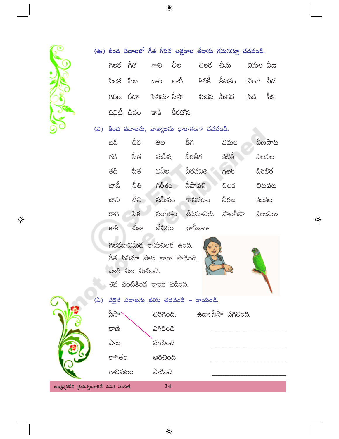

|  |                         |  | (ఊ) కింది పదాలలో గీత గీసిన అక్షరాల తేదాను గమనిస్తూ చదవండి. |  |
|--|-------------------------|--|------------------------------------------------------------|--|
|  |                         |  | గిలక గీత గాలి లీల చిలక చీమ విమల్వీణ                        |  |
|  |                         |  | పిలక పీట దారి లారీ కిటికీ కీటకం నింగి నీద                  |  |
|  |                         |  | గిరిజ రీటా సినిమా్ససా మిరప మీగడ పిడి పీక                   |  |
|  | దివిటీ దీపం కాకి కీరదోస |  |                                                            |  |

## (2) కింది పదాలను, వాక్యాలను ధారాకంగా చదవండి.

| ಬದಿ  | బీర      | ತಿಲ    | తీగ        | విమల    | వీణపాట |
|------|----------|--------|------------|---------|--------|
| గడి  | సీత      | మనీష   | బీరతీగ     | දීඪීජ   | విలవిల |
| తడి  | ప్రీత    | వినీల  | వీరవనిత    | AOS     | బిరబిర |
| జాడీ | నీతి     | గిరీశం | దీపావళి    | చిలక    | చిటపట  |
| బావి | దీవి     | సమీపం  | గాలిపటం    | నీరజ    | కిలకిల |
| ರಾಗಿ | పీక      | సంగీతం | జీడిమామిడి | పాలసీసా | ಮಿಲಮಿಲ |
| కాకి | బ్రీక్రా | జీవితం | ఖాళ్రీజాగా |         |        |

గిలకబావిమీద రామచిలక ఉంది. ಗಿತ ಸಿನಿಮ್ <mark>ನ</mark>ಾಟ ಬಾಗ್ ವಾದಿಂದಿ. వాణి వీణ మీటింది. శివ పంటికింద రాయి పడింది.



 $\bigoplus$ 



(ఏ) సరైన పదాలను కలిపి చదవండి – రాయండి. స్టీస్రా` ఉదా: సీసా పగిలింది. *<u>Donoa</u>*. ಎಗಿರಿಂದಿ రాణి పాట పగిలింది కాగితం ಅರಿವಿಂದಿ గాలిపటం ಎಂಪಿಸ್ ఆంధ్రప్రదేశ్ (పభుత్వంవారిచే ఉచిత పంపిణీ 24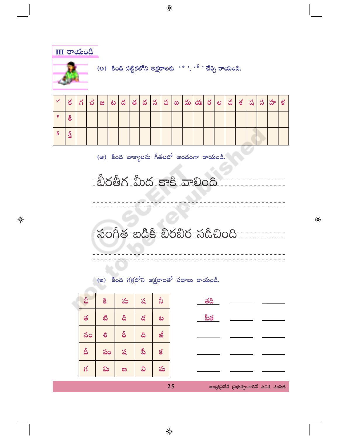

| $\checkmark$ | $\leq$ | ్చ | ಜ | ಿಟ | ど |  | త $ \, 8 \,   \, 5 \,   \, 3 \,   \, 2$ |  | $ \! $ మ $ \! $ రు $ \! $ ల |  | వ $ \delta $ | $ \H \rtimes  \H \rtimes $ | $\infty$ | ళ్ల |
|--------------|--------|----|---|----|---|--|-----------------------------------------|--|-----------------------------|--|--------------|----------------------------|----------|-----|
| ್ರ           | ర్తి   |    |   |    |   |  |                                         |  |                             |  |              |                            |          |     |
| ్త           | ర్షి   |    |   |    |   |  |                                         |  |                             |  |              |                            |          |     |

(ఆ) కింది వాక్యాలను గీతలలో అందంగా రాయండి.

- సంగీత బడికి బిరబిర నడిచింది بالمستحدث والمستحدث ---------

 $\bigoplus$ 

## (ఇ) కింది గళ్లలోని అక్షరాలతో పదాలు రాయండి.

 $\bigoplus$ 

| చీ | g  | మ  | ష    | $\delta$ |    | తడి   |                                         |  |
|----|----|----|------|----------|----|-------|-----------------------------------------|--|
| త  | ඪ  | డి | డ    | ಟ        |    | ప్రీత |                                         |  |
| నం | -8 | δ  | ದಿ   | జీ       |    |       |                                         |  |
| దీ | పం | ష  | ప్రీ | $\leq$   |    |       |                                         |  |
| గ  | ವಿ | ಣ  | ವಿ   | మ        |    |       |                                         |  |
|    |    |    |      |          | 25 |       | ఆంధ్రప్రదేశ్ (పభుత్వంవారిచే ఉచిత పంపిణీ |  |

 $\bigoplus$